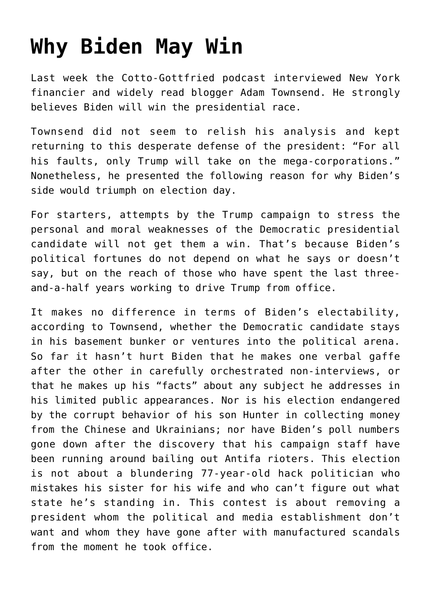## **[Why Biden May Win](https://intellectualtakeout.org/2020/09/why-biden-may-win/)**

Last week the Cotto-Gottfried podcast interviewed New York financier and widely read blogger Adam Townsend. He strongly believes Biden will win the presidential race.

Townsend did not seem to relish his analysis and kept returning to this desperate defense of the president: "For all his faults, only Trump will take on the mega-corporations." Nonetheless, he presented the following reason for why Biden's side would triumph on election day.

For starters, attempts by the Trump campaign to stress the personal and moral weaknesses of the Democratic presidential candidate will not get them a win. That's because Biden's political fortunes do not depend on what he says or doesn't say, but on the reach of those who have spent the last threeand-a-half years working to drive Trump from office.

It makes no difference in terms of Biden's electability, according to Townsend, whether the Democratic candidate stays in his basement bunker or ventures into the political arena. So far it hasn't hurt Biden that he makes one verbal gaffe after the other in carefully orchestrated non-interviews, or that he makes up his "facts" about any subject he addresses in his limited public appearances. Nor is his election endangered by the corrupt behavior of his son Hunter in collecting money from the Chinese and Ukrainians; nor have Biden's poll numbers gone down after the discovery that his campaign staff have been running around bailing out Antifa rioters. This election is not about a blundering 77-year-old hack politician who mistakes his sister for his wife and who can't figure out what state he's standing in. This contest is about removing a president whom the political and media establishment don't want and whom they have gone after with manufactured scandals from the moment he took office.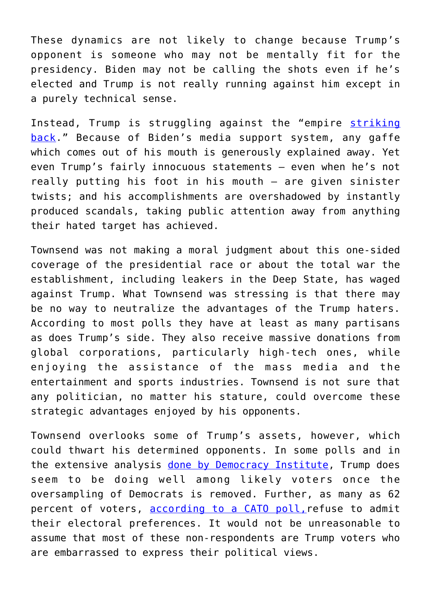These dynamics are not likely to change because Trump's opponent is someone who may not be mentally fit for the presidency. Biden may not be calling the shots even if he's elected and Trump is not really running against him except in a purely technical sense.

Instead, Trump is struggling against the "empire [striking](https://amgreatness.com/2020/09/08/the-ruling-class-strikes-back/) [back](https://amgreatness.com/2020/09/08/the-ruling-class-strikes-back/)." Because of Biden's media support system, any gaffe which comes out of his mouth is generously explained away. Yet even Trump's fairly innocuous statements – even when he's not really putting his foot in his mouth – are given sinister twists; and his accomplishments are overshadowed by instantly produced scandals, taking public attention away from anything their hated target has achieved.

Townsend was not making a moral judgment about this one-sided coverage of the presidential race or about the total war the establishment, including leakers in the Deep State, has waged against Trump. What Townsend was stressing is that there may be no way to neutralize the advantages of the Trump haters. According to most polls they have at least as many partisans as does Trump's side. They also receive massive donations from global corporations, particularly high-tech ones, while enjoying the assistance of the mass media and the entertainment and sports industries. Townsend is not sure that any politician, no matter his stature, could overcome these strategic advantages enjoyed by his opponents.

Townsend overlooks some of Trump's assets, however, which could thwart his determined opponents. In some polls and in the extensive analysis [done by Democracy Institute,](https://www.chroniclesmagazine.org/blog/trump-takes-the-lead-in-non-mainstream-poll/) Trump does seem to be doing well among likely voters once the oversampling of Democrats is removed. Further, as many as 62 percent of voters, according to a CATO poll, refuse to admit their electoral preferences. It would not be unreasonable to assume that most of these non-respondents are Trump voters who are embarrassed to express their political views.